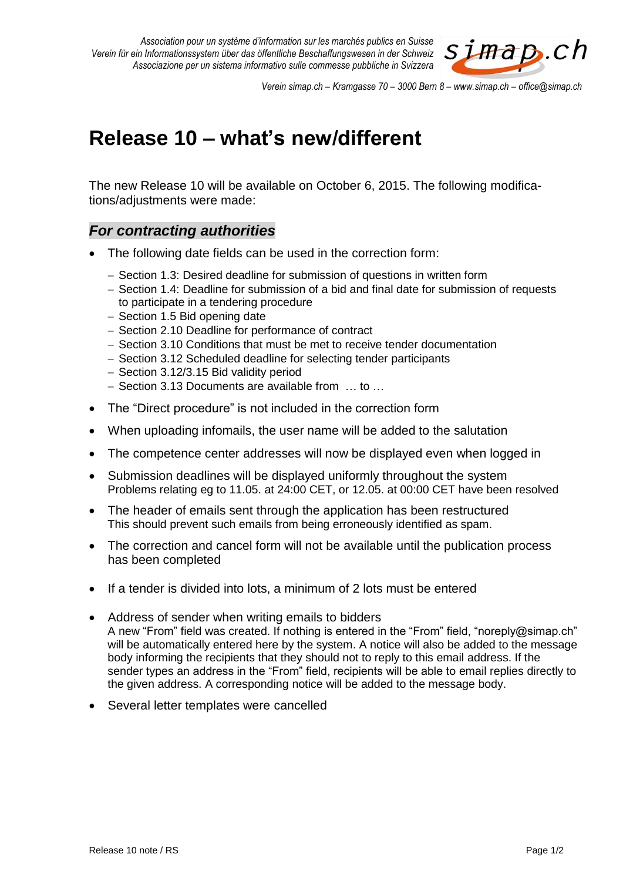

*Verein simap.ch – Kramgasse 70 – 3000 Bern 8 – www.simap.ch – office@simap.ch*

## **Release 10 – what's new/different**

The new Release 10 will be available on October 6, 2015. The following modifications/adjustments were made:

## *For contracting authorities*

- The following date fields can be used in the correction form:
	- Section 1.3: Desired deadline for submission of questions in written form
	- Section 1.4: Deadline for submission of a bid and final date for submission of requests to participate in a tendering procedure
	- Section 1.5 Bid opening date
	- Section 2.10 Deadline for performance of contract
	- Section 3.10 Conditions that must be met to receive tender documentation
	- Section 3.12 Scheduled deadline for selecting tender participants
	- $-$  Section 3.12/3.15 Bid validity period
	- Section 3.13 Documents are available from ... to ...
- The "Direct procedure" is not included in the correction form
- When uploading infomails, the user name will be added to the salutation
- The competence center addresses will now be displayed even when logged in
- Submission deadlines will be displayed uniformly throughout the system Problems relating eg to 11.05. at 24:00 CET, or 12.05. at 00:00 CET have been resolved
- The header of emails sent through the application has been restructured This should prevent such emails from being erroneously identified as spam.
- The correction and cancel form will not be available until the publication process has been completed
- If a tender is divided into lots, a minimum of 2 lots must be entered
- Address of sender when writing emails to bidders A new "From" field was created. If nothing is entered in the "From" field, "noreply@simap.ch" will be automatically entered here by the system. A notice will also be added to the message body informing the recipients that they should not to reply to this email address. If the sender types an address in the "From" field, recipients will be able to email replies directly to the given address. A corresponding notice will be added to the message body.
- Several letter templates were cancelled